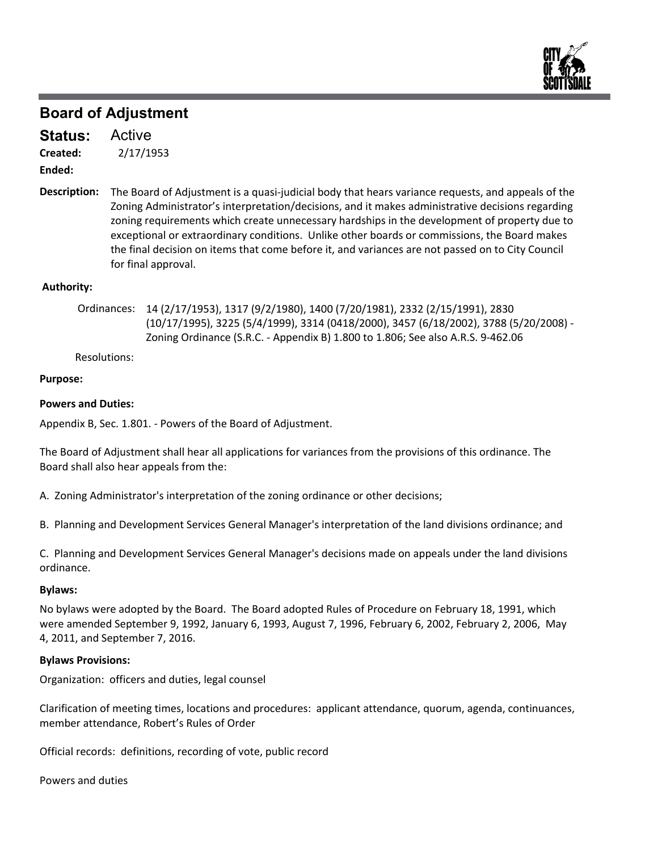

Active **Status:**

2/17/1953 **Created:**

**Ended:**

Description: The Board of Adjustment is a quasi-judicial body that hears variance requests, and appeals of the Zoning Administrator's interpretation/decisions, and it makes administrative decisions regarding zoning requirements which create unnecessary hardships in the development of property due to exceptional or extraordinary conditions. Unlike other boards or commissions, the Board makes the final decision on items that come before it, and variances are not passed on to City Council for final approval.

# **Authority:**

Ordinances: 14 (2/17/1953), 1317 (9/2/1980), 1400 (7/20/1981), 2332 (2/15/1991), 2830 (10/17/1995), 3225 (5/4/1999), 3314 (0418/2000), 3457 (6/18/2002), 3788 (5/20/2008) ‐ Zoning Ordinance (S.R.C. ‐ Appendix B) 1.800 to 1.806; See also A.R.S. 9‐462.06

Resolutions:

# **Purpose:**

# **Powers and Duties:**

Appendix B, Sec. 1.801. ‐ Powers of the Board of Adjustment.

The Board of Adjustment shall hear all applications for variances from the provisions of this ordinance. The Board shall also hear appeals from the:

A. Zoning Administrator's interpretation of the zoning ordinance or other decisions;

B. Planning and Development Services General Manager's interpretation of the land divisions ordinance; and

C. Planning and Development Services General Manager's decisions made on appeals under the land divisions ordinance.

# **Bylaws:**

No bylaws were adopted by the Board. The Board adopted Rules of Procedure on February 18, 1991, which were amended September 9, 1992, January 6, 1993, August 7, 1996, February 6, 2002, February 2, 2006, May 4, 2011, and September 7, 2016.

# **Bylaws Provisions:**

Organization: officers and duties, legal counsel

Clarification of meeting times, locations and procedures: applicant attendance, quorum, agenda, continuances, member attendance, Robert's Rules of Order

Official records: definitions, recording of vote, public record

Powers and duties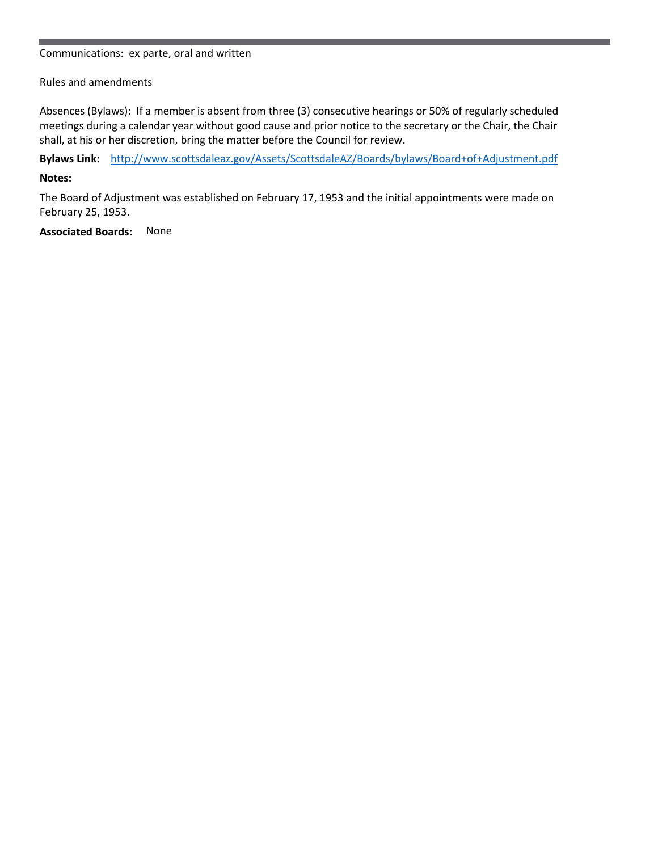#### Communications: ex parte, oral and written

# Rules and amendments

Absences (Bylaws): If a member is absent from three (3) consecutive hearings or 50% of regularly scheduled meetings during a calendar year without good cause and prior notice to the secretary or the Chair, the Chair shall, at his or her discretion, bring the matter before the Council for review.

**Bylaws Link:** http://www.scottsdaleaz.gov/Assets/ScottsdaleAZ/Boards/bylaws/Board+of+Adjustment.pdf

# **Notes:**

The Board of Adjustment was established on February 17, 1953 and the initial appointments were made on February 25, 1953.

**Associated Boards:** None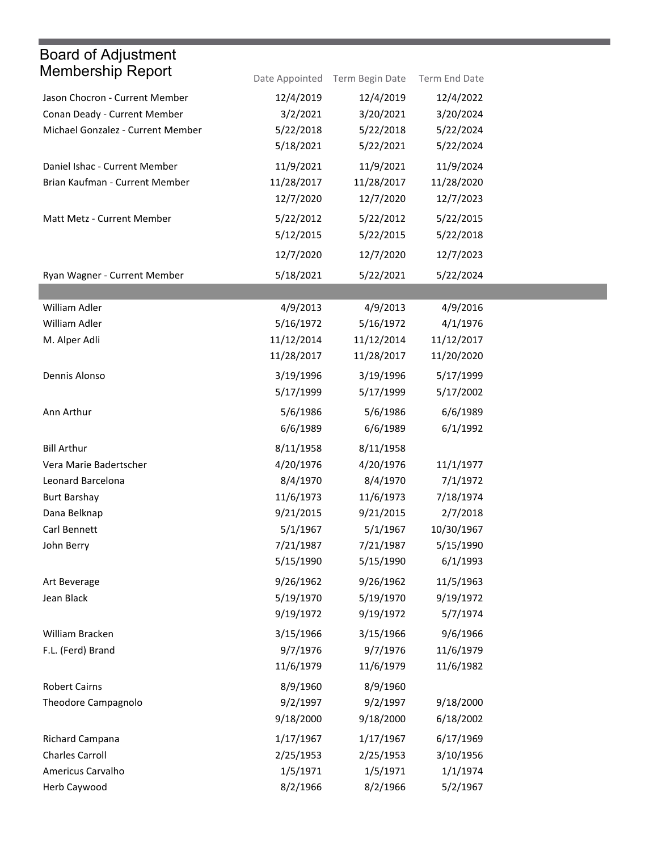| <b>Board of Adjustment</b>        |            |                                |               |
|-----------------------------------|------------|--------------------------------|---------------|
| <b>Membership Report</b>          |            | Date Appointed Term Begin Date | Term End Date |
| Jason Chocron - Current Member    | 12/4/2019  | 12/4/2019                      | 12/4/2022     |
| Conan Deady - Current Member      | 3/2/2021   | 3/20/2021                      | 3/20/2024     |
| Michael Gonzalez - Current Member | 5/22/2018  | 5/22/2018                      | 5/22/2024     |
|                                   | 5/18/2021  | 5/22/2021                      | 5/22/2024     |
| Daniel Ishac - Current Member     | 11/9/2021  | 11/9/2021                      | 11/9/2024     |
| Brian Kaufman - Current Member    | 11/28/2017 | 11/28/2017                     | 11/28/2020    |
|                                   | 12/7/2020  | 12/7/2020                      | 12/7/2023     |
| Matt Metz - Current Member        | 5/22/2012  | 5/22/2012                      | 5/22/2015     |
|                                   | 5/12/2015  | 5/22/2015                      | 5/22/2018     |
|                                   | 12/7/2020  | 12/7/2020                      | 12/7/2023     |
| Ryan Wagner - Current Member      | 5/18/2021  | 5/22/2021                      | 5/22/2024     |
|                                   |            |                                |               |
| William Adler                     | 4/9/2013   | 4/9/2013                       | 4/9/2016      |
| William Adler                     | 5/16/1972  | 5/16/1972                      | 4/1/1976      |
| M. Alper Adli                     | 11/12/2014 | 11/12/2014                     | 11/12/2017    |
|                                   | 11/28/2017 | 11/28/2017                     | 11/20/2020    |
| Dennis Alonso                     | 3/19/1996  | 3/19/1996                      | 5/17/1999     |
|                                   | 5/17/1999  | 5/17/1999                      | 5/17/2002     |
| Ann Arthur                        | 5/6/1986   | 5/6/1986                       | 6/6/1989      |
|                                   | 6/6/1989   | 6/6/1989                       | 6/1/1992      |
| <b>Bill Arthur</b>                | 8/11/1958  | 8/11/1958                      |               |
| Vera Marie Badertscher            | 4/20/1976  | 4/20/1976                      | 11/1/1977     |
| Leonard Barcelona                 | 8/4/1970   | 8/4/1970                       | 7/1/1972      |
| <b>Burt Barshay</b>               | 11/6/1973  | 11/6/1973                      | 7/18/1974     |
| Dana Belknap                      | 9/21/2015  | 9/21/2015                      | 2/7/2018      |
| Carl Bennett                      | 5/1/1967   | 5/1/1967                       | 10/30/1967    |
| John Berry                        | 7/21/1987  | 7/21/1987                      | 5/15/1990     |
|                                   | 5/15/1990  | 5/15/1990                      | 6/1/1993      |
| Art Beverage                      | 9/26/1962  | 9/26/1962                      | 11/5/1963     |
| Jean Black                        | 5/19/1970  | 5/19/1970                      | 9/19/1972     |
|                                   | 9/19/1972  | 9/19/1972                      | 5/7/1974      |
| William Bracken                   | 3/15/1966  | 3/15/1966                      | 9/6/1966      |
| F.L. (Ferd) Brand                 | 9/7/1976   | 9/7/1976                       | 11/6/1979     |
|                                   | 11/6/1979  | 11/6/1979                      | 11/6/1982     |
| <b>Robert Cairns</b>              | 8/9/1960   | 8/9/1960                       |               |
| Theodore Campagnolo               | 9/2/1997   | 9/2/1997                       | 9/18/2000     |
|                                   | 9/18/2000  | 9/18/2000                      | 6/18/2002     |
| Richard Campana                   | 1/17/1967  | 1/17/1967                      | 6/17/1969     |
| <b>Charles Carroll</b>            | 2/25/1953  | 2/25/1953                      | 3/10/1956     |
| Americus Carvalho                 | 1/5/1971   | 1/5/1971                       | 1/1/1974      |
| Herb Caywood                      | 8/2/1966   | 8/2/1966                       | 5/2/1967      |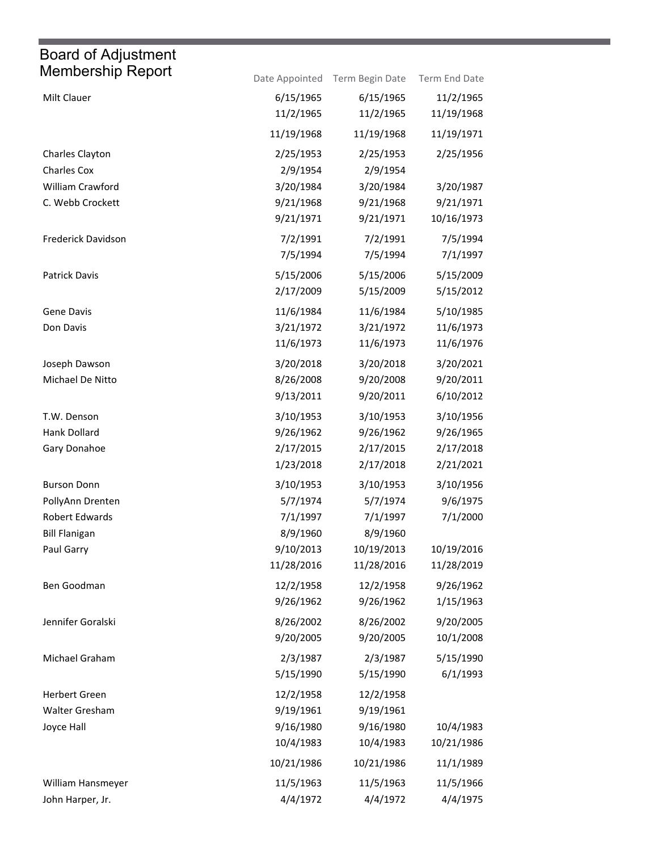| Membership Report     |            | Date Appointed Term Begin Date | Term End Date |
|-----------------------|------------|--------------------------------|---------------|
| Milt Clauer           | 6/15/1965  | 6/15/1965                      | 11/2/1965     |
|                       | 11/2/1965  | 11/2/1965                      | 11/19/1968    |
|                       | 11/19/1968 | 11/19/1968                     | 11/19/1971    |
| Charles Clayton       | 2/25/1953  | 2/25/1953                      | 2/25/1956     |
| <b>Charles Cox</b>    | 2/9/1954   | 2/9/1954                       |               |
| William Crawford      | 3/20/1984  | 3/20/1984                      | 3/20/1987     |
| C. Webb Crockett      | 9/21/1968  | 9/21/1968                      | 9/21/1971     |
|                       | 9/21/1971  | 9/21/1971                      | 10/16/1973    |
| Frederick Davidson    | 7/2/1991   | 7/2/1991                       | 7/5/1994      |
|                       | 7/5/1994   | 7/5/1994                       | 7/1/1997      |
| Patrick Davis         | 5/15/2006  | 5/15/2006                      | 5/15/2009     |
|                       | 2/17/2009  | 5/15/2009                      | 5/15/2012     |
| Gene Davis            | 11/6/1984  | 11/6/1984                      | 5/10/1985     |
| Don Davis             | 3/21/1972  | 3/21/1972                      | 11/6/1973     |
|                       | 11/6/1973  | 11/6/1973                      | 11/6/1976     |
| Joseph Dawson         | 3/20/2018  | 3/20/2018                      | 3/20/2021     |
| Michael De Nitto      | 8/26/2008  | 9/20/2008                      | 9/20/2011     |
|                       | 9/13/2011  | 9/20/2011                      | 6/10/2012     |
| T.W. Denson           | 3/10/1953  | 3/10/1953                      | 3/10/1956     |
| Hank Dollard          | 9/26/1962  | 9/26/1962                      | 9/26/1965     |
| Gary Donahoe          | 2/17/2015  | 2/17/2015                      | 2/17/2018     |
|                       | 1/23/2018  | 2/17/2018                      | 2/21/2021     |
| <b>Burson Donn</b>    | 3/10/1953  | 3/10/1953                      | 3/10/1956     |
| PollyAnn Drenten      | 5/7/1974   | 5/7/1974                       | 9/6/1975      |
| <b>Robert Edwards</b> | 7/1/1997   | 7/1/1997                       | 7/1/2000      |
| <b>Bill Flanigan</b>  | 8/9/1960   | 8/9/1960                       |               |
| Paul Garry            | 9/10/2013  | 10/19/2013                     | 10/19/2016    |
|                       | 11/28/2016 | 11/28/2016                     | 11/28/2019    |
| Ben Goodman           | 12/2/1958  | 12/2/1958                      | 9/26/1962     |
|                       | 9/26/1962  | 9/26/1962                      | 1/15/1963     |
| Jennifer Goralski     | 8/26/2002  | 8/26/2002                      | 9/20/2005     |
|                       | 9/20/2005  | 9/20/2005                      | 10/1/2008     |
| Michael Graham        | 2/3/1987   | 2/3/1987                       | 5/15/1990     |
|                       | 5/15/1990  | 5/15/1990                      | 6/1/1993      |
| Herbert Green         | 12/2/1958  | 12/2/1958                      |               |
| Walter Gresham        | 9/19/1961  | 9/19/1961                      |               |
| Joyce Hall            | 9/16/1980  | 9/16/1980                      | 10/4/1983     |
|                       | 10/4/1983  | 10/4/1983                      | 10/21/1986    |
|                       | 10/21/1986 | 10/21/1986                     | 11/1/1989     |
| William Hansmeyer     | 11/5/1963  | 11/5/1963                      | 11/5/1966     |
| John Harper, Jr.      | 4/4/1972   | 4/4/1972                       | 4/4/1975      |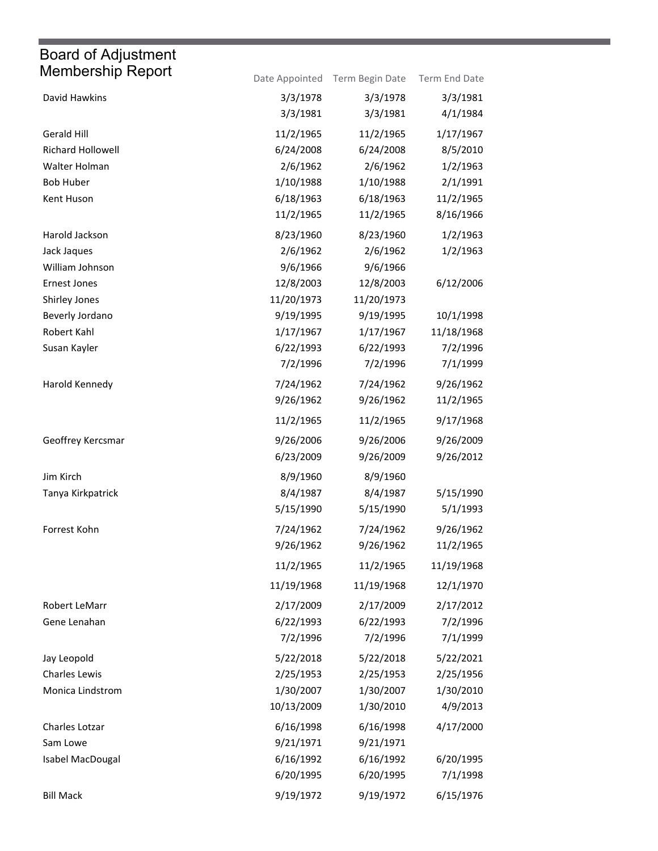| Membership Report        |            | Date Appointed Term Begin Date | Term End Date |
|--------------------------|------------|--------------------------------|---------------|
| David Hawkins            | 3/3/1978   | 3/3/1978                       | 3/3/1981      |
|                          | 3/3/1981   | 3/3/1981                       | 4/1/1984      |
| Gerald Hill              | 11/2/1965  | 11/2/1965                      | 1/17/1967     |
| <b>Richard Hollowell</b> | 6/24/2008  | 6/24/2008                      | 8/5/2010      |
| Walter Holman            | 2/6/1962   | 2/6/1962                       | 1/2/1963      |
| <b>Bob Huber</b>         | 1/10/1988  | 1/10/1988                      | 2/1/1991      |
| Kent Huson               | 6/18/1963  | 6/18/1963                      | 11/2/1965     |
|                          | 11/2/1965  | 11/2/1965                      | 8/16/1966     |
| Harold Jackson           | 8/23/1960  | 8/23/1960                      | 1/2/1963      |
| Jack Jaques              | 2/6/1962   | 2/6/1962                       | 1/2/1963      |
| William Johnson          | 9/6/1966   | 9/6/1966                       |               |
| <b>Ernest Jones</b>      | 12/8/2003  | 12/8/2003                      | 6/12/2006     |
| Shirley Jones            | 11/20/1973 | 11/20/1973                     |               |
| Beverly Jordano          | 9/19/1995  | 9/19/1995                      | 10/1/1998     |
| Robert Kahl              | 1/17/1967  | 1/17/1967                      | 11/18/1968    |
| Susan Kayler             | 6/22/1993  | 6/22/1993                      | 7/2/1996      |
|                          | 7/2/1996   | 7/2/1996                       | 7/1/1999      |
| Harold Kennedy           | 7/24/1962  | 7/24/1962                      | 9/26/1962     |
|                          | 9/26/1962  | 9/26/1962                      | 11/2/1965     |
|                          | 11/2/1965  | 11/2/1965                      | 9/17/1968     |
| Geoffrey Kercsmar        | 9/26/2006  | 9/26/2006                      | 9/26/2009     |
|                          | 6/23/2009  | 9/26/2009                      | 9/26/2012     |
| Jim Kirch                | 8/9/1960   | 8/9/1960                       |               |
| Tanya Kirkpatrick        | 8/4/1987   | 8/4/1987                       | 5/15/1990     |
|                          | 5/15/1990  | 5/15/1990                      | 5/1/1993      |
| Forrest Kohn             | 7/24/1962  | 7/24/1962                      | 9/26/1962     |
|                          | 9/26/1962  | 9/26/1962                      | 11/2/1965     |
|                          | 11/2/1965  | 11/2/1965                      | 11/19/1968    |
|                          | 11/19/1968 | 11/19/1968                     | 12/1/1970     |
| Robert LeMarr            | 2/17/2009  | 2/17/2009                      | 2/17/2012     |
| Gene Lenahan             | 6/22/1993  | 6/22/1993                      | 7/2/1996      |
|                          | 7/2/1996   | 7/2/1996                       | 7/1/1999      |
| Jay Leopold              | 5/22/2018  | 5/22/2018                      | 5/22/2021     |
| Charles Lewis            | 2/25/1953  | 2/25/1953                      | 2/25/1956     |
| Monica Lindstrom         | 1/30/2007  | 1/30/2007                      | 1/30/2010     |
|                          | 10/13/2009 | 1/30/2010                      | 4/9/2013      |
| Charles Lotzar           | 6/16/1998  | 6/16/1998                      | 4/17/2000     |
| Sam Lowe                 | 9/21/1971  | 9/21/1971                      |               |
| Isabel MacDougal         | 6/16/1992  | 6/16/1992                      | 6/20/1995     |
|                          | 6/20/1995  | 6/20/1995                      | 7/1/1998      |
| <b>Bill Mack</b>         | 9/19/1972  | 9/19/1972                      | 6/15/1976     |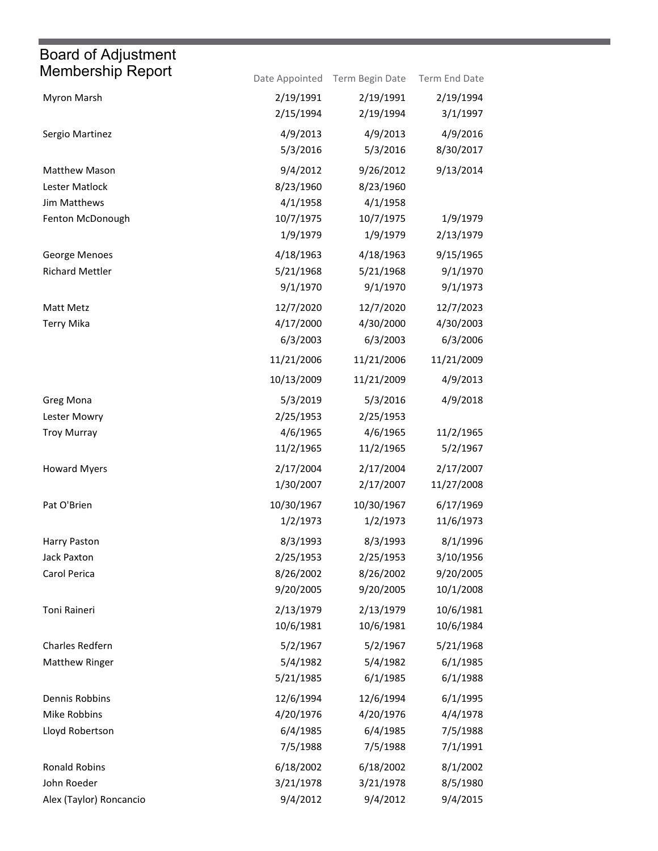| <b>Membership Report</b> |            | Date Appointed Term Begin Date | Term End Date |
|--------------------------|------------|--------------------------------|---------------|
| Myron Marsh              | 2/19/1991  | 2/19/1991                      | 2/19/1994     |
|                          | 2/15/1994  | 2/19/1994                      | 3/1/1997      |
| Sergio Martinez          | 4/9/2013   | 4/9/2013                       | 4/9/2016      |
|                          | 5/3/2016   | 5/3/2016                       | 8/30/2017     |
| Matthew Mason            | 9/4/2012   | 9/26/2012                      | 9/13/2014     |
| Lester Matlock           | 8/23/1960  | 8/23/1960                      |               |
| Jim Matthews             | 4/1/1958   | 4/1/1958                       |               |
| Fenton McDonough         | 10/7/1975  | 10/7/1975                      | 1/9/1979      |
|                          | 1/9/1979   | 1/9/1979                       | 2/13/1979     |
| George Menoes            | 4/18/1963  | 4/18/1963                      | 9/15/1965     |
| <b>Richard Mettler</b>   | 5/21/1968  | 5/21/1968                      | 9/1/1970      |
|                          | 9/1/1970   | 9/1/1970                       | 9/1/1973      |
| Matt Metz                | 12/7/2020  | 12/7/2020                      | 12/7/2023     |
| <b>Terry Mika</b>        | 4/17/2000  | 4/30/2000                      | 4/30/2003     |
|                          | 6/3/2003   | 6/3/2003                       | 6/3/2006      |
|                          | 11/21/2006 | 11/21/2006                     | 11/21/2009    |
|                          | 10/13/2009 | 11/21/2009                     | 4/9/2013      |
| Greg Mona                | 5/3/2019   | 5/3/2016                       | 4/9/2018      |
| Lester Mowry             | 2/25/1953  | 2/25/1953                      |               |
| <b>Troy Murray</b>       | 4/6/1965   | 4/6/1965                       | 11/2/1965     |
|                          | 11/2/1965  | 11/2/1965                      | 5/2/1967      |
| <b>Howard Myers</b>      | 2/17/2004  | 2/17/2004                      | 2/17/2007     |
|                          | 1/30/2007  | 2/17/2007                      | 11/27/2008    |
| Pat O'Brien              | 10/30/1967 | 10/30/1967                     | 6/17/1969     |
|                          | 1/2/1973   | 1/2/1973                       | 11/6/1973     |
| Harry Paston             | 8/3/1993   | 8/3/1993                       | 8/1/1996      |
| Jack Paxton              | 2/25/1953  | 2/25/1953                      | 3/10/1956     |
| Carol Perica             | 8/26/2002  | 8/26/2002                      | 9/20/2005     |
|                          | 9/20/2005  | 9/20/2005                      | 10/1/2008     |
| Toni Raineri             | 2/13/1979  | 2/13/1979                      | 10/6/1981     |
|                          | 10/6/1981  | 10/6/1981                      | 10/6/1984     |
| Charles Redfern          | 5/2/1967   | 5/2/1967                       | 5/21/1968     |
| <b>Matthew Ringer</b>    | 5/4/1982   | 5/4/1982                       | 6/1/1985      |
|                          | 5/21/1985  | 6/1/1985                       | 6/1/1988      |
| Dennis Robbins           | 12/6/1994  | 12/6/1994                      | 6/1/1995      |
| Mike Robbins             | 4/20/1976  | 4/20/1976                      | 4/4/1978      |
| Lloyd Robertson          | 6/4/1985   | 6/4/1985                       | 7/5/1988      |
|                          | 7/5/1988   | 7/5/1988                       | 7/1/1991      |
| Ronald Robins            | 6/18/2002  | 6/18/2002                      | 8/1/2002      |
| John Roeder              | 3/21/1978  | 3/21/1978                      | 8/5/1980      |
| Alex (Taylor) Roncancio  | 9/4/2012   | 9/4/2012                       | 9/4/2015      |